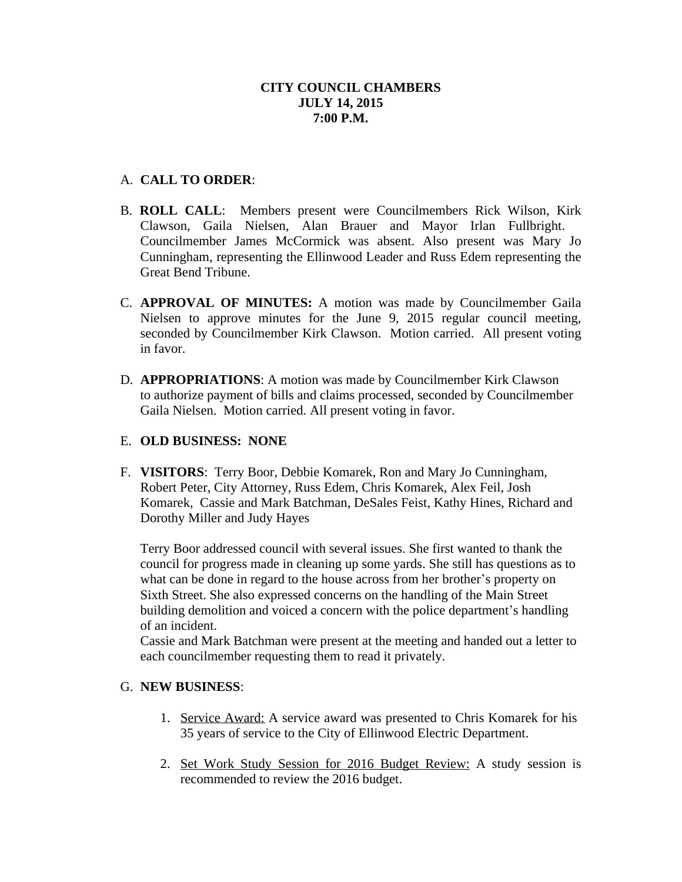## **CITY COUNCIL CHAMBERS JULY 14, 2015 7:00 P.M.**

## A. **CALL TO ORDER**:

- B. **ROLL CALL**: Members present were Councilmembers Rick Wilson, Kirk Clawson, Gaila Nielsen, Alan Brauer and Mayor Irlan Fullbright. Councilmember James McCormick was absent. Also present was Mary Jo Cunningham, representing the Ellinwood Leader and Russ Edem representing the Great Bend Tribune.
- C. **APPROVAL OF MINUTES:** A motion was made by Councilmember Gaila Nielsen to approve minutes for the June 9, 2015 regular council meeting, seconded by Councilmember Kirk Clawson. Motion carried. All present voting in favor.
- D. **APPROPRIATIONS**: A motion was made by Councilmember Kirk Clawson to authorize payment of bills and claims processed, seconded by Councilmember Gaila Nielsen. Motion carried. All present voting in favor.

# E. **OLD BUSINESS: NONE**

F. **VISITORS**: Terry Boor, Debbie Komarek, Ron and Mary Jo Cunningham, Robert Peter, City Attorney, Russ Edem, Chris Komarek, Alex Feil, Josh Komarek, Cassie and Mark Batchman, DeSales Feist, Kathy Hines, Richard and Dorothy Miller and Judy Hayes

Terry Boor addressed council with several issues. She first wanted to thank the council for progress made in cleaning up some yards. She still has questions as to what can be done in regard to the house across from her brother's property on Sixth Street. She also expressed concerns on the handling of the Main Street building demolition and voiced a concern with the police department's handling of an incident.

Cassie and Mark Batchman were present at the meeting and handed out a letter to each councilmember requesting them to read it privately.

#### G. **NEW BUSINESS**:

- 1. Service Award: A service award was presented to Chris Komarek for his 35 years of service to the City of Ellinwood Electric Department.
- 2. Set Work Study Session for 2016 Budget Review: A study session is recommended to review the 2016 budget.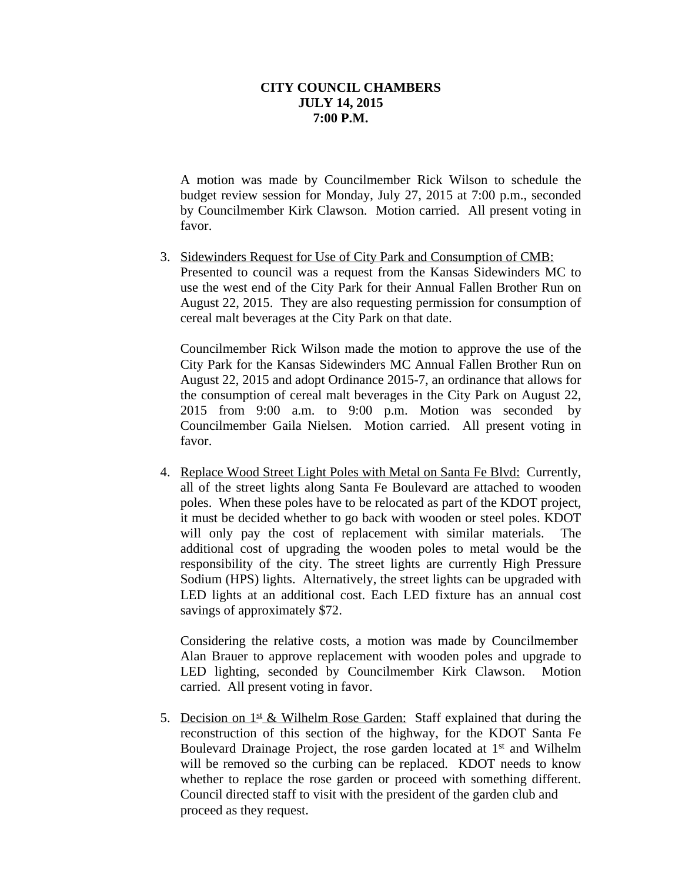#### **CITY COUNCIL CHAMBERS JULY 14, 2015 7:00 P.M.**

A motion was made by Councilmember Rick Wilson to schedule the budget review session for Monday, July 27, 2015 at 7:00 p.m., seconded by Councilmember Kirk Clawson. Motion carried. All present voting in favor.

3. Sidewinders Request for Use of City Park and Consumption of CMB: Presented to council was a request from the Kansas Sidewinders MC to use the west end of the City Park for their Annual Fallen Brother Run on August 22, 2015. They are also requesting permission for consumption of cereal malt beverages at the City Park on that date.

Councilmember Rick Wilson made the motion to approve the use of the City Park for the Kansas Sidewinders MC Annual Fallen Brother Run on August 22, 2015 and adopt Ordinance 2015-7, an ordinance that allows for the consumption of cereal malt beverages in the City Park on August 22, 2015 from 9:00 a.m. to 9:00 p.m. Motion was seconded by Councilmember Gaila Nielsen. Motion carried. All present voting in favor.

4. Replace Wood Street Light Poles with Metal on Santa Fe Blvd: Currently, all of the street lights along Santa Fe Boulevard are attached to wooden poles. When these poles have to be relocated as part of the KDOT project, it must be decided whether to go back with wooden or steel poles. KDOT will only pay the cost of replacement with similar materials. The additional cost of upgrading the wooden poles to metal would be the responsibility of the city. The street lights are currently High Pressure Sodium (HPS) lights. Alternatively, the street lights can be upgraded with LED lights at an additional cost. Each LED fixture has an annual cost savings of approximately \$72.

Considering the relative costs, a motion was made by Councilmember Alan Brauer to approve replacement with wooden poles and upgrade to LED lighting, seconded by Councilmember Kirk Clawson. Motion carried. All present voting in favor.

5. Decision on  $1<sup>st</sup>$  & Wilhelm Rose Garden: Staff explained that during the reconstruction of this section of the highway, for the KDOT Santa Fe Boulevard Drainage Project, the rose garden located at 1<sup>st</sup> and Wilhelm will be removed so the curbing can be replaced. KDOT needs to know whether to replace the rose garden or proceed with something different. Council directed staff to visit with the president of the garden club and proceed as they request.